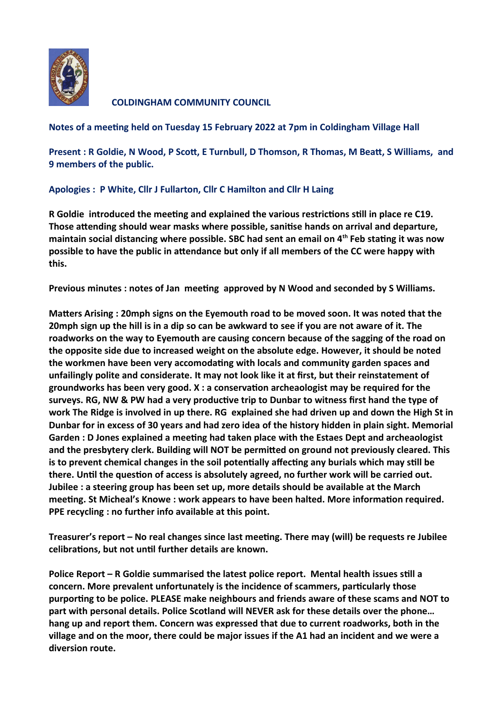

**COLDINGHAM COMMUNITY COUNCIL** 

**Notes of a meeting held on Tuesday 15 February 2022 at 7pm in Coldingham Village Hall**

**Present : R Goldie, N Wood, P Scott, E Turnbull, D Thomson, R Thomas, M Beatt, S Williams, and 9 members of the public.**

## **Apologies : P White, Cllr J Fullarton, Cllr C Hamilton and Cllr H Laing**

**R Goldie introduced the meeting and explained the various restrictions still in place re C19. Those attending should wear masks where possible, sanitise hands on arrival and departure, maintain social distancing where possible. SBC had sent an email on 4th Feb stating it was now possible to have the public in attendance but only if all members of the CC were happy with this.** 

**Previous minutes : notes of Jan meeting approved by N Wood and seconded by S Williams.** 

**Matters Arising : 20mph signs on the Eyemouth road to be moved soon. It was noted that the 20mph sign up the hill is in a dip so can be awkward to see if you are not aware of it. The roadworks on the way to Eyemouth are causing concern because of the sagging of the road on the opposite side due to increased weight on the absolute edge. However, it should be noted the workmen have been very accomodating with locals and community garden spaces and unfailingly polite and considerate. It may not look like it at first, but their reinstatement of groundworks has been very good. X : a conservation archeaologist may be required for the surveys. RG, NW & PW had a very productive trip to Dunbar to witness first hand the type of work The Ridge is involved in up there. RG explained she had driven up and down the High St in Dunbar for in excess of 30 years and had zero idea of the history hidden in plain sight. Memorial Garden : D Jones explained a meeting had taken place with the Estaes Dept and archeaologist and the presbytery clerk. Building will NOT be permitted on ground not previously cleared. This is to prevent chemical changes in the soil potentially affecting any burials which may still be there. Until the question of access is absolutely agreed, no further work will be carried out. Jubilee : a steering group has been set up, more details should be available at the March meeting. St Micheal's Knowe : work appears to have been halted. More information required. PPE recycling : no further info available at this point.**

**Treasurer's report – No real changes since last meeting. There may (will) be requests re Jubilee celibrations, but not until further details are known.**

**Police Report – R Goldie summarised the latest police report. Mental health issues still a concern. More prevalent unfortunately is the incidence of scammers, particularly those purporting to be police. PLEASE make neighbours and friends aware of these scams and NOT to part with personal details. Police Scotland will NEVER ask for these details over the phone… hang up and report them. Concern was expressed that due to current roadworks, both in the village and on the moor, there could be major issues if the A1 had an incident and we were a diversion route.**